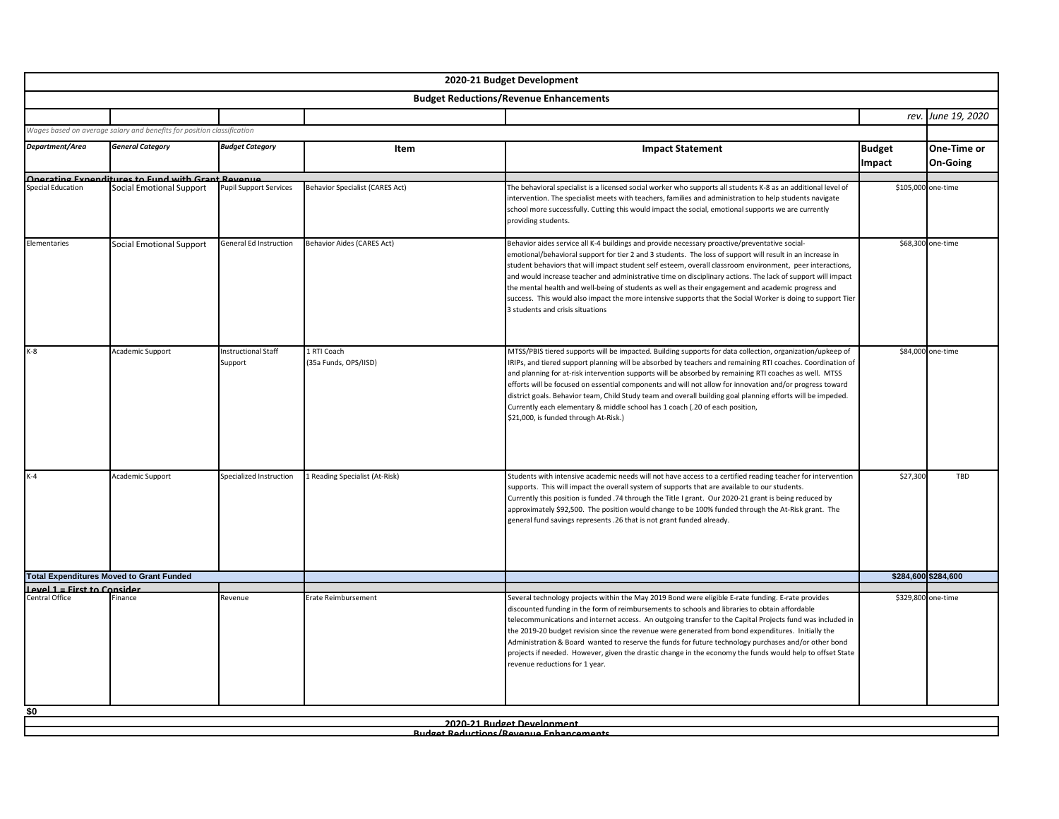|                             |                                                                        |                                       |                                        | 2020-21 Budget Development                                                                                                                                                                                                                                                                                                                                                                                                                                                                                                                                                                                                                                                                      |               |                     |
|-----------------------------|------------------------------------------------------------------------|---------------------------------------|----------------------------------------|-------------------------------------------------------------------------------------------------------------------------------------------------------------------------------------------------------------------------------------------------------------------------------------------------------------------------------------------------------------------------------------------------------------------------------------------------------------------------------------------------------------------------------------------------------------------------------------------------------------------------------------------------------------------------------------------------|---------------|---------------------|
|                             |                                                                        |                                       |                                        | <b>Budget Reductions/Revenue Enhancements</b>                                                                                                                                                                                                                                                                                                                                                                                                                                                                                                                                                                                                                                                   |               |                     |
|                             |                                                                        |                                       |                                        |                                                                                                                                                                                                                                                                                                                                                                                                                                                                                                                                                                                                                                                                                                 |               | rev. June 19, 2020  |
|                             | Wages based on average salary and benefits for position classification |                                       |                                        |                                                                                                                                                                                                                                                                                                                                                                                                                                                                                                                                                                                                                                                                                                 |               |                     |
| Department/Area             | <b>General Category</b>                                                | <b>Budget Category</b>                | Item                                   | <b>Impact Statement</b>                                                                                                                                                                                                                                                                                                                                                                                                                                                                                                                                                                                                                                                                         | <b>Budget</b> | One-Time or         |
|                             |                                                                        |                                       |                                        |                                                                                                                                                                                                                                                                                                                                                                                                                                                                                                                                                                                                                                                                                                 | Impact        | <b>On-Going</b>     |
| <b>Special Education</b>    | Onerating Exnenditures to Fund with Grant Revenue                      | <b>Pupil Support Services</b>         | <b>Behavior Specialist (CARES Act)</b> |                                                                                                                                                                                                                                                                                                                                                                                                                                                                                                                                                                                                                                                                                                 |               | \$105,000 one-time  |
|                             | Social Emotional Support                                               |                                       |                                        | The behavioral specialist is a licensed social worker who supports all students K-8 as an additional level of<br>intervention. The specialist meets with teachers, families and administration to help students navigate<br>school more successfully. Cutting this would impact the social, emotional supports we are currently<br>providing students.                                                                                                                                                                                                                                                                                                                                          |               |                     |
| Elementaries                | Social Emotional Support                                               | General Ed Instruction                | <b>Behavior Aides (CARES Act)</b>      | Behavior aides service all K-4 buildings and provide necessary proactive/preventative social-<br>emotional/behavioral support for tier 2 and 3 students. The loss of support will result in an increase in<br>student behaviors that will impact student self esteem, overall classroom environment, peer interactions,<br>and would increase teacher and administrative time on disciplinary actions. The lack of support will impact<br>the mental health and well-being of students as well as their engagement and academic progress and<br>success. This would also impact the more intensive supports that the Social Worker is doing to support Tier<br>3 students and crisis situations |               | \$68,300 one-time   |
| $K-8$                       | Academic Support                                                       | <b>Instructional Staff</b><br>Support | 1 RTI Coach<br>(35a Funds, OPS/IISD)   | MTSS/PBIS tiered supports will be impacted. Building supports for data collection, organization/upkeep of<br>IRIPs, and tiered support planning will be absorbed by teachers and remaining RTI coaches. Coordination of<br>and planning for at-risk intervention supports will be absorbed by remaining RTI coaches as well. MTSS<br>efforts will be focused on essential components and will not allow for innovation and/or progress toward<br>district goals. Behavior team, Child Study team and overall building goal planning efforts will be impeded.<br>Currently each elementary & middle school has 1 coach (.20 of each position,<br>\$21,000, is funded through At-Risk.)           |               | \$84,000 one-time   |
| $K-4$                       | Academic Support                                                       | Specialized Instruction               | 1 Reading Specialist (At-Risk)         | Students with intensive academic needs will not have access to a certified reading teacher for intervention<br>supports. This will impact the overall system of supports that are available to our students.<br>Currently this position is funded .74 through the Title I grant. Our 2020-21 grant is being reduced by<br>approximately \$92,500. The position would change to be 100% funded through the At-Risk grant. The<br>general fund savings represents .26 that is not grant funded already.                                                                                                                                                                                           | \$27,300      | TBD                 |
|                             | <b>Total Expenditures Moved to Grant Funded</b>                        |                                       |                                        |                                                                                                                                                                                                                                                                                                                                                                                                                                                                                                                                                                                                                                                                                                 |               | \$284,600 \$284,600 |
| Level 1 = First to Consider |                                                                        |                                       |                                        |                                                                                                                                                                                                                                                                                                                                                                                                                                                                                                                                                                                                                                                                                                 |               |                     |
| Central Office              | Finance                                                                | Revenue                               | Erate Reimbursement                    | Several technology projects within the May 2019 Bond were eligible E-rate funding. E-rate provides<br>discounted funding in the form of reimbursements to schools and libraries to obtain affordable<br>telecommunications and internet access. An outgoing transfer to the Capital Projects fund was included in<br>the 2019-20 budget revision since the revenue were generated from bond expenditures. Initially the<br>Administration & Board wanted to reserve the funds for future technology purchases and/or other bond<br>projects if needed. However, given the drastic change in the economy the funds would help to offset State<br>revenue reductions for 1 year.                  |               | \$329,800 one-time  |
| \$0                         |                                                                        |                                       |                                        |                                                                                                                                                                                                                                                                                                                                                                                                                                                                                                                                                                                                                                                                                                 |               |                     |
|                             |                                                                        |                                       |                                        | 2020-21 Budget Development<br><b>Rudget Reductions/Revenue Enhancements</b>                                                                                                                                                                                                                                                                                                                                                                                                                                                                                                                                                                                                                     |               |                     |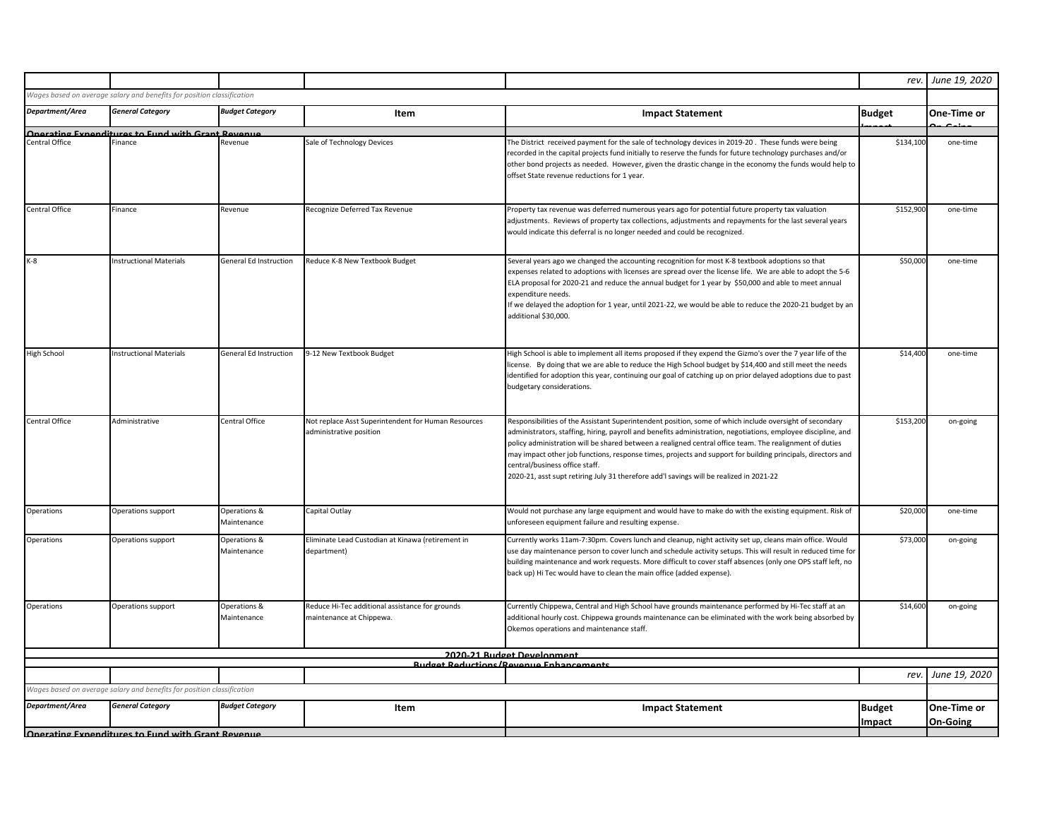|                    |                                                                        |                             |                                                                                |                                                                                                                                                                                                                                                                                                                                                                                                                                                                                                                                                                                 | rev.                    | June 19, 2020           |
|--------------------|------------------------------------------------------------------------|-----------------------------|--------------------------------------------------------------------------------|---------------------------------------------------------------------------------------------------------------------------------------------------------------------------------------------------------------------------------------------------------------------------------------------------------------------------------------------------------------------------------------------------------------------------------------------------------------------------------------------------------------------------------------------------------------------------------|-------------------------|-------------------------|
|                    | Wages based on average salary and benefits for position classification |                             |                                                                                |                                                                                                                                                                                                                                                                                                                                                                                                                                                                                                                                                                                 |                         |                         |
| Department/Area    | <b>General Category</b>                                                | <b>Budget Category</b>      | Item                                                                           | <b>Impact Statement</b>                                                                                                                                                                                                                                                                                                                                                                                                                                                                                                                                                         | <b>Budget</b>           | One-Time or             |
|                    | Onerating Expenditures to Eund with Grant Revenue                      |                             |                                                                                |                                                                                                                                                                                                                                                                                                                                                                                                                                                                                                                                                                                 |                         |                         |
| Central Office     | Finance                                                                | Revenue                     | Sale of Technology Devices                                                     | The District received payment for the sale of technology devices in 2019-20. These funds were being<br>recorded in the capital projects fund initially to reserve the funds for future technology purchases and/or<br>other bond projects as needed. However, given the drastic change in the economy the funds would help to<br>offset State revenue reductions for 1 year.                                                                                                                                                                                                    | \$134,100               | one-time                |
| Central Office     | Finance                                                                | Revenue                     | Recognize Deferred Tax Revenue                                                 | Property tax revenue was deferred numerous years ago for potential future property tax valuation<br>adjustments. Reviews of property tax collections, adjustments and repayments for the last several years<br>would indicate this deferral is no longer needed and could be recognized.                                                                                                                                                                                                                                                                                        | \$152,900               | one-time                |
| $K-8$              | <b>Instructional Materials</b>                                         | General Ed Instruction      | Reduce K-8 New Textbook Budget                                                 | Several years ago we changed the accounting recognition for most K-8 textbook adoptions so that<br>expenses related to adoptions with licenses are spread over the license life. We are able to adopt the 5-6<br>ELA proposal for 2020-21 and reduce the annual budget for 1 year by \$50,000 and able to meet annual<br>expenditure needs.<br>If we delayed the adoption for 1 year, until 2021-22, we would be able to reduce the 2020-21 budget by an<br>additional \$30,000.                                                                                                | \$50,000                | one-time                |
| <b>High School</b> | <b>Instructional Materials</b>                                         | General Ed Instruction      | 9-12 New Textbook Budget                                                       | High School is able to implement all items proposed if they expend the Gizmo's over the 7 year life of the<br>license. By doing that we are able to reduce the High School budget by \$14,400 and still meet the needs<br>identified for adoption this year, continuing our goal of catching up on prior delayed adoptions due to past<br>budgetary considerations.                                                                                                                                                                                                             | \$14,400                | one-time                |
| Central Office     | Administrative                                                         | Central Office              | Not replace Asst Superintendent for Human Resources<br>administrative position | Responsibilities of the Assistant Superintendent position, some of which include oversight of secondary<br>administrators, staffing, hiring, payroll and benefits administration, negotiations, employee discipline, and<br>policy administration will be shared between a realigned central office team. The realignment of duties<br>may impact other job functions, response times, projects and support for building principals, directors and<br>central/business office staff.<br>2020-21, asst supt retiring July 31 therefore add'l savings will be realized in 2021-22 | \$153,200               | on-going                |
| Operations         | Operations support                                                     | Operations &<br>Maintenance | Capital Outlay                                                                 | Would not purchase any large equipment and would have to make do with the existing equipment. Risk of<br>unforeseen equipment failure and resulting expense.                                                                                                                                                                                                                                                                                                                                                                                                                    | \$20,000                | one-time                |
| Operations         | Operations support                                                     | Operations &<br>Maintenance | Eliminate Lead Custodian at Kinawa (retirement in<br>department)               | Currently works 11am-7:30pm. Covers lunch and cleanup, night activity set up, cleans main office. Would<br>use day maintenance person to cover lunch and schedule activity setups. This will result in reduced time for<br>building maintenance and work requests. More difficult to cover staff absences (only one OPS staff left, no<br>back up) Hi Tec would have to clean the main office (added expense).                                                                                                                                                                  | \$73,000                | on-going                |
| Operations         | Operations support                                                     | Operations &<br>Maintenance | Reduce Hi-Tec additional assistance for grounds<br>maintenance at Chippewa.    | Currently Chippewa, Central and High School have grounds maintenance performed by Hi-Tec staff at an<br>additional hourly cost. Chippewa grounds maintenance can be eliminated with the work being absorbed by<br>Okemos operations and maintenance staff.                                                                                                                                                                                                                                                                                                                      | \$14,600                | on-going                |
|                    |                                                                        |                             |                                                                                | 2020-21 Rudget Development                                                                                                                                                                                                                                                                                                                                                                                                                                                                                                                                                      |                         |                         |
|                    |                                                                        |                             |                                                                                | <b>Rudget Reductions/Revenue Enhancements</b>                                                                                                                                                                                                                                                                                                                                                                                                                                                                                                                                   |                         |                         |
|                    | Wages based on average salary and benefits for position classification |                             |                                                                                |                                                                                                                                                                                                                                                                                                                                                                                                                                                                                                                                                                                 | rev.                    | June 19, 2020           |
| Department/Area    | <b>General Category</b>                                                | <b>Budget Category</b>      | Item                                                                           | <b>Impact Statement</b>                                                                                                                                                                                                                                                                                                                                                                                                                                                                                                                                                         | <b>Budget</b><br>Impact | One-Time or<br>On-Going |
|                    | Onerating Exnenditures to Fund with Grant Revenue                      |                             |                                                                                |                                                                                                                                                                                                                                                                                                                                                                                                                                                                                                                                                                                 |                         |                         |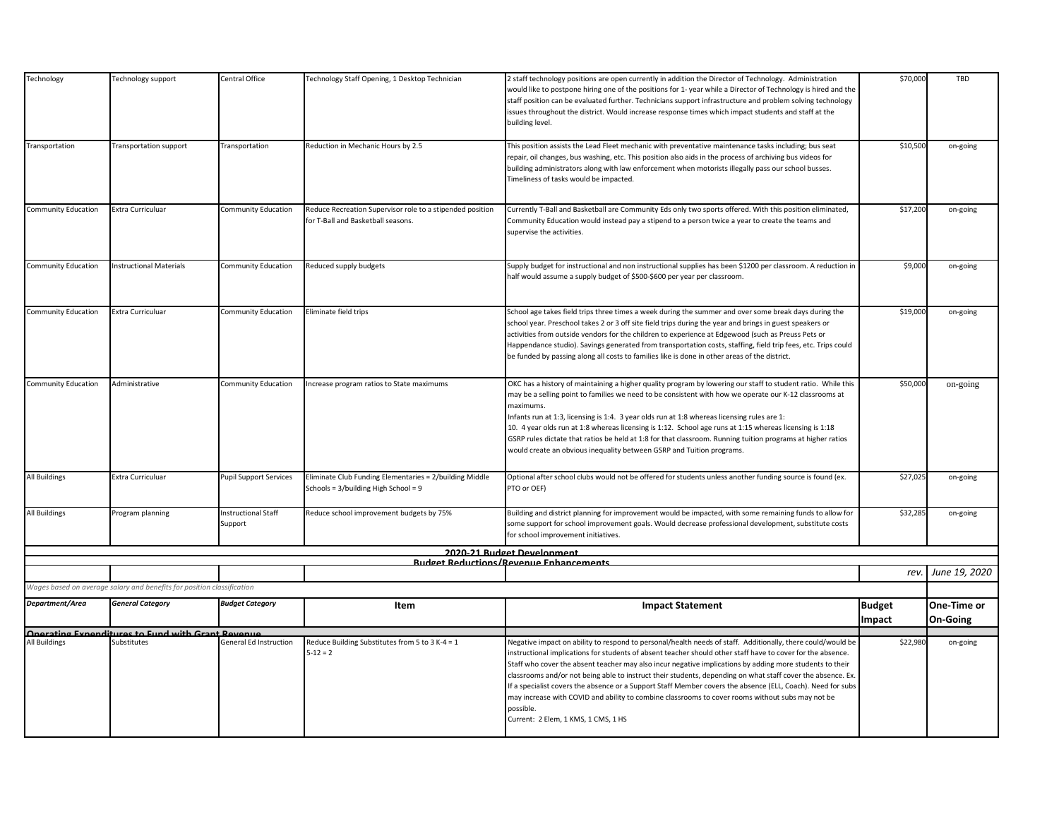| Technology                 | Technology support                                                     | Central Office                        | Technology Staff Opening, 1 Desktop Technician                                                  | 2 staff technology positions are open currently in addition the Director of Technology. Administration<br>would like to postpone hiring one of the positions for 1- year while a Director of Technology is hired and the<br>staff position can be evaluated further. Technicians support infrastructure and problem solving technology<br>issues throughout the district. Would increase response times which impact students and staff at the<br>building level.                                                                                                                                                                                                                                                           | \$70,000      | TBD           |
|----------------------------|------------------------------------------------------------------------|---------------------------------------|-------------------------------------------------------------------------------------------------|-----------------------------------------------------------------------------------------------------------------------------------------------------------------------------------------------------------------------------------------------------------------------------------------------------------------------------------------------------------------------------------------------------------------------------------------------------------------------------------------------------------------------------------------------------------------------------------------------------------------------------------------------------------------------------------------------------------------------------|---------------|---------------|
| Transportation             | Transportation support                                                 | Transportation                        | Reduction in Mechanic Hours by 2.5                                                              | This position assists the Lead Fleet mechanic with preventative maintenance tasks including; bus seat<br>repair, oil changes, bus washing, etc. This position also aids in the process of archiving bus videos for<br>building administrators along with law enforcement when motorists illegally pass our school busses.<br>Timeliness of tasks would be impacted.                                                                                                                                                                                                                                                                                                                                                         | \$10,500      | on-going      |
| <b>Community Education</b> | Extra Curriculuar                                                      | <b>Community Education</b>            | Reduce Recreation Supervisor role to a stipended position<br>for T-Ball and Basketball seasons. | Currently T-Ball and Basketball are Community Eds only two sports offered. With this position eliminated,<br>Community Education would instead pay a stipend to a person twice a year to create the teams and<br>supervise the activities.                                                                                                                                                                                                                                                                                                                                                                                                                                                                                  | \$17,200      | on-going      |
| <b>Community Education</b> | <b>Instructional Materials</b>                                         | <b>Community Education</b>            | Reduced supply budgets                                                                          | Supply budget for instructional and non instructional supplies has been \$1200 per classroom. A reduction in<br>half would assume a supply budget of \$500-\$600 per year per classroom.                                                                                                                                                                                                                                                                                                                                                                                                                                                                                                                                    | \$9,000       | on-going      |
| <b>Community Education</b> | Extra Curriculuar                                                      | <b>Community Education</b>            | Eliminate field trips                                                                           | School age takes field trips three times a week during the summer and over some break days during the<br>school year. Preschool takes 2 or 3 off site field trips during the year and brings in guest speakers or<br>activities from outside vendors for the children to experience at Edgewood (such as Preuss Pets or<br>Happendance studio). Savings generated from transportation costs, staffing, field trip fees, etc. Trips could<br>be funded by passing along all costs to families like is done in other areas of the district.                                                                                                                                                                                   | \$19,000      | on-going      |
| <b>Community Education</b> | Administrative                                                         | <b>Community Education</b>            | Increase program ratios to State maximums                                                       | OKC has a history of maintaining a higher quality program by lowering our staff to student ratio. While this<br>may be a selling point to families we need to be consistent with how we operate our K-12 classrooms at<br>maximums.<br>Infants run at 1:3, licensing is 1:4. 3 year olds run at 1:8 whereas licensing rules are 1:<br>10. 4 year olds run at 1:8 whereas licensing is 1:12. School age runs at 1:15 whereas licensing is 1:18<br>GSRP rules dictate that ratios be held at 1:8 for that classroom. Running tuition programs at higher ratios<br>would create an obvious inequality between GSRP and Tuition programs.                                                                                       | \$50,000      | on-going      |
| <b>All Buildings</b>       | Extra Curriculuar                                                      | <b>Pupil Support Services</b>         | Eliminate Club Funding Elementaries = 2/building Middle<br>Schools = 3/building High School = 9 | Optional after school clubs would not be offered for students unless another funding source is found (ex.<br>PTO or OEF)                                                                                                                                                                                                                                                                                                                                                                                                                                                                                                                                                                                                    | \$27,025      | on-going      |
| <b>All Buildings</b>       | Program planning                                                       | <b>Instructional Staff</b><br>Support | Reduce school improvement budgets by 75%                                                        | Building and district planning for improvement would be impacted, with some remaining funds to allow for<br>some support for school improvement goals. Would decrease professional development, substitute costs<br>for school improvement initiatives.                                                                                                                                                                                                                                                                                                                                                                                                                                                                     | \$32,285      | on-going      |
|                            |                                                                        |                                       |                                                                                                 | 2020-21 Rudget Development<br><b>Budget Reductions/Revenue Enhancements</b>                                                                                                                                                                                                                                                                                                                                                                                                                                                                                                                                                                                                                                                 |               |               |
|                            |                                                                        |                                       |                                                                                                 |                                                                                                                                                                                                                                                                                                                                                                                                                                                                                                                                                                                                                                                                                                                             | rev.          | June 19, 2020 |
|                            | Wages based on average salary and benefits for position classification |                                       |                                                                                                 |                                                                                                                                                                                                                                                                                                                                                                                                                                                                                                                                                                                                                                                                                                                             |               |               |
| Department/Area            | <b>General Category</b>                                                | <b>Budget Category</b>                | Item                                                                                            | <b>Impact Statement</b>                                                                                                                                                                                                                                                                                                                                                                                                                                                                                                                                                                                                                                                                                                     | <b>Budget</b> | One-Time or   |
|                            |                                                                        |                                       |                                                                                                 |                                                                                                                                                                                                                                                                                                                                                                                                                                                                                                                                                                                                                                                                                                                             | Impact        | On-Going      |
| <b>All Buildings</b>       | Onerating Exnenditures to Fund with Grant Revenue<br>Substitutes       | General Ed Instruction                | Reduce Building Substitutes from 5 to 3 K-4 = 1<br>$5 - 12 = 2$                                 | Negative impact on ability to respond to personal/health needs of staff. Additionally, there could/would be<br>instructional implications for students of absent teacher should other staff have to cover for the absence.<br>Staff who cover the absent teacher may also incur negative implications by adding more students to their<br>classrooms and/or not being able to instruct their students, depending on what staff cover the absence. Ex<br>If a specialist covers the absence or a Support Staff Member covers the absence (ELL, Coach). Need for subs<br>may increase with COVID and ability to combine classrooms to cover rooms without subs may not be<br>possible.<br>Current: 2 Elem. 1 KMS. 1 CMS. 1 HS | \$22,980      | on-going      |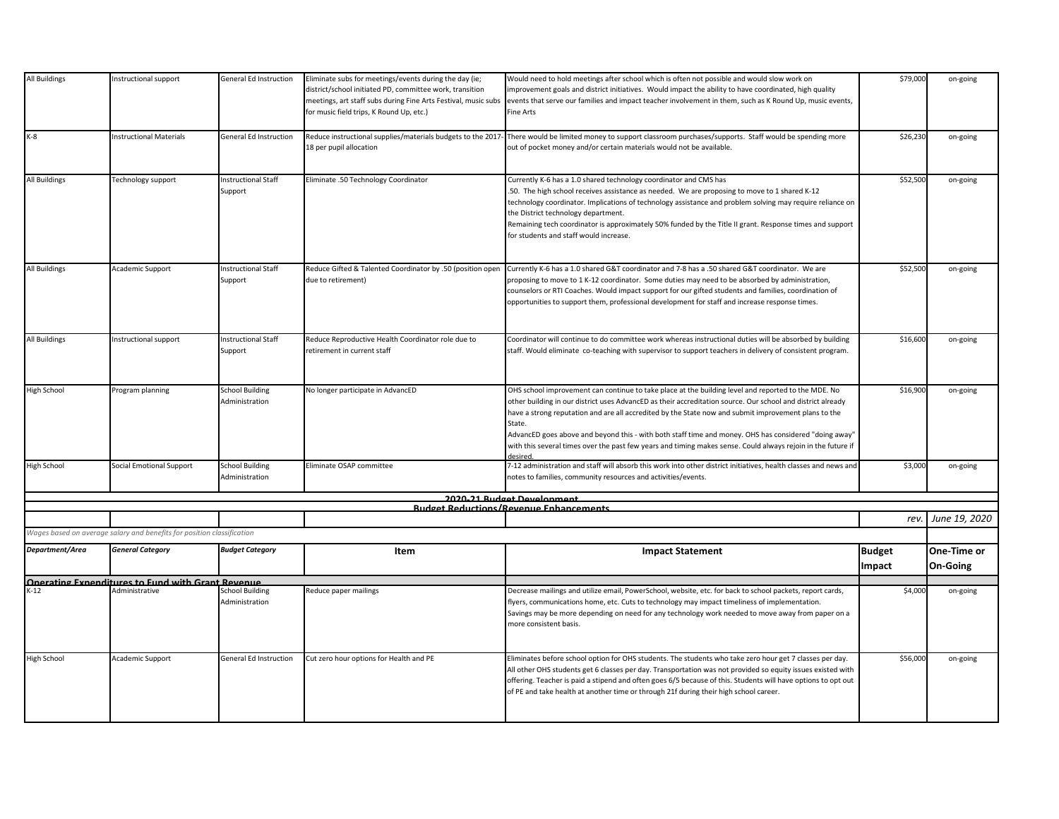| All Buildings        | Instructional support                                                                                 | <b>General Ed Instruction</b>            | Eliminate subs for meetings/events during the day (ie;<br>district/school initiated PD, committee work, transition<br>meetings, art staff subs during Fine Arts Festival, music subs<br>for music field trips, K Round Up, etc.) | Would need to hold meetings after school which is often not possible and would slow work on<br>improvement goals and district initiatives. Would impact the ability to have coordinated, high quality<br>events that serve our families and impact teacher involvement in them, such as K Round Up, music events,<br><b>Fine Arts</b>                                                                                                                                                                                                                                     | \$79,000                | on-going                |
|----------------------|-------------------------------------------------------------------------------------------------------|------------------------------------------|----------------------------------------------------------------------------------------------------------------------------------------------------------------------------------------------------------------------------------|---------------------------------------------------------------------------------------------------------------------------------------------------------------------------------------------------------------------------------------------------------------------------------------------------------------------------------------------------------------------------------------------------------------------------------------------------------------------------------------------------------------------------------------------------------------------------|-------------------------|-------------------------|
| $K-8$                | Instructional Materials                                                                               | General Ed Instruction                   | Reduce instructional supplies/materials budgets to the 2017-<br>18 per pupil allocation                                                                                                                                          | There would be limited money to support classroom purchases/supports. Staff would be spending more<br>out of pocket money and/or certain materials would not be available.                                                                                                                                                                                                                                                                                                                                                                                                | \$26,230                | on-going                |
| <b>All Buildings</b> | Technology support                                                                                    | <b>Instructional Staff</b><br>Support    | Eliminate .50 Technology Coordinator                                                                                                                                                                                             | Currently K-6 has a 1.0 shared technology coordinator and CMS has<br>.50. The high school receives assistance as needed. We are proposing to move to 1 shared K-12<br>technology coordinator. Implications of technology assistance and problem solving may require reliance on<br>the District technology department.<br>Remaining tech coordinator is approximately 50% funded by the Title II grant. Response times and support<br>for students and staff would increase.                                                                                              | \$52,500                | on-going                |
| <b>All Buildings</b> | Academic Support                                                                                      | <b>Instructional Staff</b><br>Support    | Reduce Gifted & Talented Coordinator by .50 (position open<br>due to retirement)                                                                                                                                                 | Currently K-6 has a 1.0 shared G&T coordinator and 7-8 has a .50 shared G&T coordinator. We are<br>proposing to move to 1 K-12 coordinator. Some duties may need to be absorbed by administration,<br>counselors or RTI Coaches. Would impact support for our gifted students and families, coordination of<br>opportunities to support them, professional development for staff and increase response times.                                                                                                                                                             | \$52,500                | on-going                |
| <b>All Buildings</b> | Instructional support                                                                                 | <b>Instructional Staff</b><br>Support    | Reduce Reproductive Health Coordinator role due to<br>retirement in current staff                                                                                                                                                | Coordinator will continue to do committee work whereas instructional duties will be absorbed by building<br>staff. Would eliminate co-teaching with supervisor to support teachers in delivery of consistent program.                                                                                                                                                                                                                                                                                                                                                     | \$16,600                | on-going                |
| <b>High School</b>   | Program planning                                                                                      | <b>School Building</b><br>Administration | No longer participate in AdvancED                                                                                                                                                                                                | OHS school improvement can continue to take place at the building level and reported to the MDE. No<br>other building in our district uses AdvancED as their accreditation source. Our school and district already<br>have a strong reputation and are all accredited by the State now and submit improvement plans to the<br>State.<br>AdvancED goes above and beyond this - with both staff time and money. OHS has considered "doing away"<br>with this several times over the past few years and timing makes sense. Could always rejoin in the future if<br>desired. | \$16,900                | on-going                |
| <b>High School</b>   | Social Emotional Support                                                                              | <b>School Building</b><br>Administration | Eliminate OSAP committee                                                                                                                                                                                                         | 7-12 administration and staff will absorb this work into other district initiatives, health classes and news and<br>notes to families, community resources and activities/events.                                                                                                                                                                                                                                                                                                                                                                                         | \$3,000                 | on-going                |
|                      |                                                                                                       |                                          |                                                                                                                                                                                                                                  | 2020-21 Rudget Development                                                                                                                                                                                                                                                                                                                                                                                                                                                                                                                                                |                         |                         |
|                      |                                                                                                       |                                          |                                                                                                                                                                                                                                  | <b>Rudget Reductions/Revenue Enhancements</b>                                                                                                                                                                                                                                                                                                                                                                                                                                                                                                                             |                         |                         |
|                      | Wages based on average salary and benefits for position classification                                |                                          |                                                                                                                                                                                                                                  |                                                                                                                                                                                                                                                                                                                                                                                                                                                                                                                                                                           | rev.                    | June 19, 2020           |
| Department/Area      | <b>General Category</b>                                                                               | <b>Budget Category</b>                   | Item                                                                                                                                                                                                                             | <b>Impact Statement</b>                                                                                                                                                                                                                                                                                                                                                                                                                                                                                                                                                   | <b>Budget</b><br>Impact | One-Time or<br>On-Going |
|                      | <b>Operating Expenditures to Fund with Grant Revenue</b><br>K-12 <b>Administrative</b> School Buildir |                                          |                                                                                                                                                                                                                                  |                                                                                                                                                                                                                                                                                                                                                                                                                                                                                                                                                                           |                         |                         |
|                      |                                                                                                       | <b>School Building</b><br>Administration | Reduce paper mailings                                                                                                                                                                                                            | Decrease mailings and utilize email, PowerSchool, website, etc. for back to school packets, report cards,<br>flyers, communications home, etc. Cuts to technology may impact timeliness of implementation.<br>Savings may be more depending on need for any technology work needed to move away from paper on a<br>more consistent basis.                                                                                                                                                                                                                                 | \$4,000                 | on-going                |
| <b>High School</b>   | Academic Support                                                                                      | General Ed Instruction                   | Cut zero hour options for Health and PE                                                                                                                                                                                          | Eliminates before school option for OHS students. The students who take zero hour get 7 classes per day.<br>All other OHS students get 6 classes per day. Transportation was not provided so equity issues existed with<br>offering. Teacher is paid a stipend and often goes 6/5 because of this. Students will have options to opt out<br>of PE and take health at another time or through 21f during their high school career.                                                                                                                                         | \$56,000                | on-going                |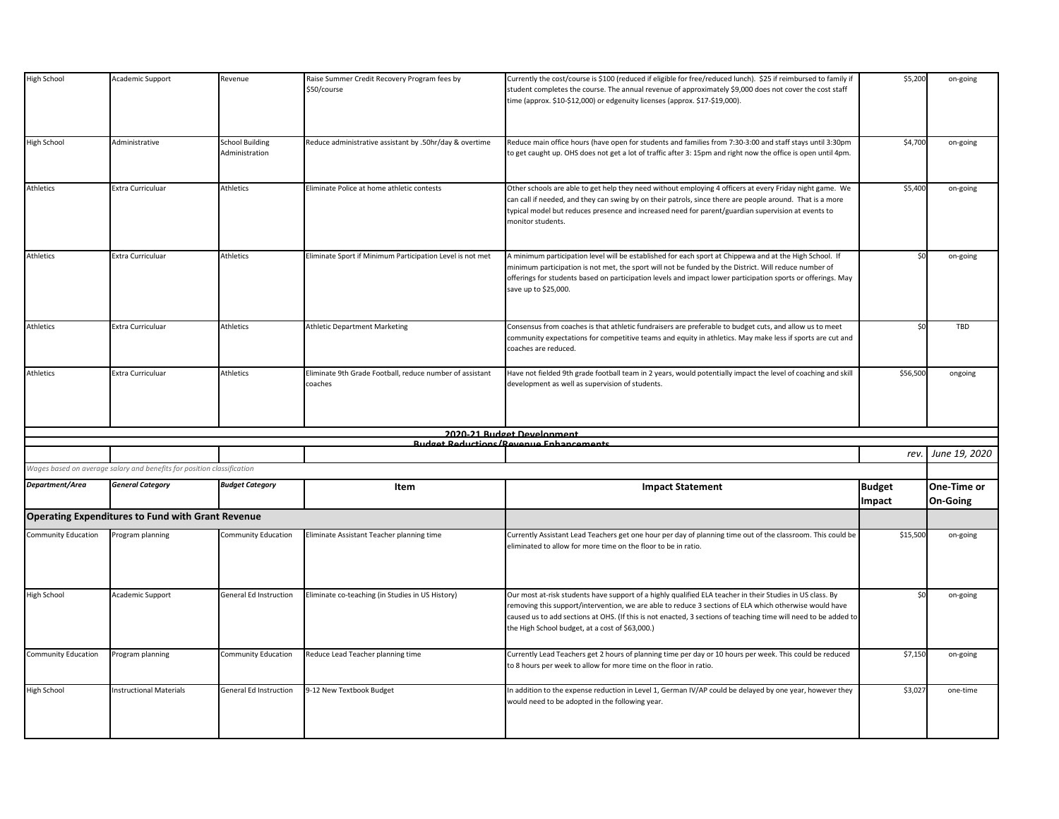| <b>High School</b>         | Academic Support                                                       | Revenue                                  | Raise Summer Credit Recovery Program fees by<br>\$50/course         | Currently the cost/course is \$100 (reduced if eligible for free/reduced lunch). \$25 if reimbursed to family if<br>student completes the course. The annual revenue of approximately \$9,000 does not cover the cost staff<br>time (approx. \$10-\$12,000) or edgenuity licenses (approx. \$17-\$19,000).                                                                                | \$5,200                 | on-going                |
|----------------------------|------------------------------------------------------------------------|------------------------------------------|---------------------------------------------------------------------|-------------------------------------------------------------------------------------------------------------------------------------------------------------------------------------------------------------------------------------------------------------------------------------------------------------------------------------------------------------------------------------------|-------------------------|-------------------------|
| <b>High School</b>         | Administrative                                                         | <b>School Building</b><br>Administration | Reduce administrative assistant by .50hr/day & overtime             | Reduce main office hours (have open for students and families from 7:30-3:00 and staff stays until 3:30pm<br>to get caught up. OHS does not get a lot of traffic after 3: 15pm and right now the office is open until 4pm.                                                                                                                                                                | \$4,700                 | on-going                |
| Athletics                  | Extra Curriculuar                                                      | Athletics                                | Eliminate Police at home athletic contests                          | Other schools are able to get help they need without employing 4 officers at every Friday night game. We<br>can call if needed, and they can swing by on their patrols, since there are people around. That is a more<br>typical model but reduces presence and increased need for parent/guardian supervision at events to<br>monitor students.                                          | \$5,400                 | on-going                |
| Athletics                  | <b>Extra Curriculuar</b>                                               | Athletics                                | Eliminate Sport if Minimum Participation Level is not met           | A minimum participation level will be established for each sport at Chippewa and at the High School. If<br>minimum participation is not met, the sport will not be funded by the District. Will reduce number of<br>offerings for students based on participation levels and impact lower participation sports or offerings. May<br>save up to \$25,000.                                  | Ś٢                      | on-going                |
| Athletics                  | <b>Extra Curriculuar</b>                                               | Athletics                                | <b>Athletic Department Marketing</b>                                | Consensus from coaches is that athletic fundraisers are preferable to budget cuts, and allow us to meet<br>community expectations for competitive teams and equity in athletics. May make less if sports are cut and<br>coaches are reduced.                                                                                                                                              | \$0                     | TBD                     |
| Athletics                  | Extra Curriculuar                                                      | Athletics                                | Eliminate 9th Grade Football, reduce number of assistant<br>coaches | Have not fielded 9th grade football team in 2 years, would potentially impact the level of coaching and skill<br>development as well as supervision of students.                                                                                                                                                                                                                          | \$56,500                | ongoing                 |
|                            |                                                                        |                                          |                                                                     | 2020-21 Rudget Development                                                                                                                                                                                                                                                                                                                                                                |                         |                         |
|                            |                                                                        |                                          |                                                                     | <b>Budget Reductions/Revenue Enhancements</b>                                                                                                                                                                                                                                                                                                                                             | rev.                    | June 19, 2020           |
|                            | Wages based on average salary and benefits for position classification |                                          |                                                                     |                                                                                                                                                                                                                                                                                                                                                                                           |                         |                         |
| Department/Area            | <b>General Category</b>                                                | <b>Budget Category</b>                   | Item                                                                | <b>Impact Statement</b>                                                                                                                                                                                                                                                                                                                                                                   | <b>Budget</b><br>Impact | One-Time or<br>On-Going |
|                            | <b>Operating Expenditures to Fund with Grant Revenue</b>               |                                          |                                                                     |                                                                                                                                                                                                                                                                                                                                                                                           |                         |                         |
| <b>Community Education</b> | Program planning                                                       | <b>Community Education</b>               | Eliminate Assistant Teacher planning time                           | Currently Assistant Lead Teachers get one hour per day of planning time out of the classroom. This could be<br>eliminated to allow for more time on the floor to be in ratio.                                                                                                                                                                                                             | \$15,500                | on-going                |
| High School                | Academic Support                                                       | <b>General Ed Instruction</b>            | Eliminate co-teaching (in Studies in US History)                    | Our most at-risk students have support of a highly qualified ELA teacher in their Studies in US class. By<br>removing this support/intervention, we are able to reduce 3 sections of ELA which otherwise would have<br>caused us to add sections at OHS. (If this is not enacted, 3 sections of teaching time will need to be added to<br>the High School budget, at a cost of \$63,000.) | Ś٢                      | on-going                |
| <b>Community Education</b> | Program planning                                                       | <b>Community Education</b>               | Reduce Lead Teacher planning time                                   | Currently Lead Teachers get 2 hours of planning time per day or 10 hours per week. This could be reduced<br>to 8 hours per week to allow for more time on the floor in ratio.                                                                                                                                                                                                             | \$7,150                 | on-going                |
| <b>High School</b>         | <b>Instructional Materials</b>                                         | General Ed Instruction                   | 9-12 New Textbook Budget                                            | In addition to the expense reduction in Level 1, German IV/AP could be delayed by one year, however they<br>would need to be adopted in the following year.                                                                                                                                                                                                                               | \$3,027                 | one-time                |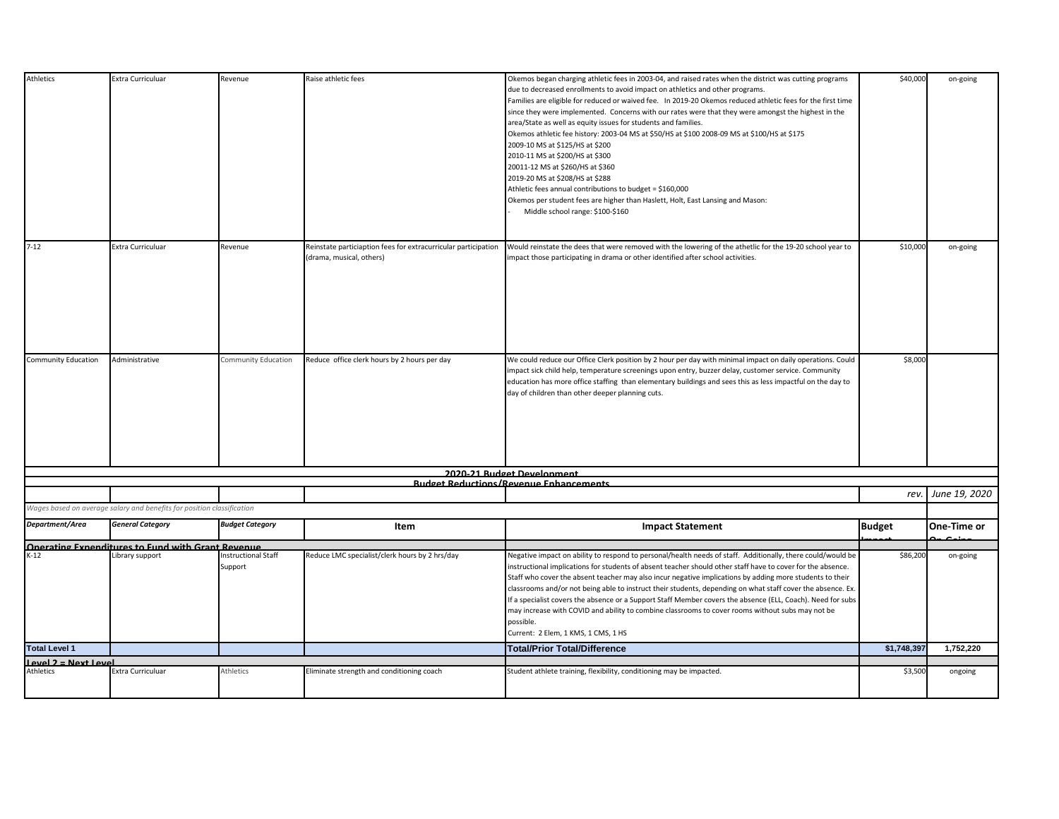| Athletics                                | Extra Curriculuar                                                                              | Revenue                        | Raise athletic fees                                                                        | Okemos began charging athletic fees in 2003-04, and raised rates when the district was cutting programs<br>due to decreased enrollments to avoid impact on athletics and other programs.<br>Families are eligible for reduced or waived fee. In 2019-20 Okemos reduced athletic fees for the first time<br>since they were implemented. Concerns with our rates were that they were amongst the highest in the<br>area/State as well as equity issues for students and families.<br>Okemos athletic fee history: 2003-04 MS at \$50/HS at \$100 2008-09 MS at \$100/HS at \$175<br>2009-10 MS at \$125/HS at \$200<br>2010-11 MS at \$200/HS at \$300<br>20011-12 MS at \$260/HS at \$360<br>2019-20 MS at \$208/HS at \$288<br>Athletic fees annual contributions to budget = \$160,000<br>Okemos per student fees are higher than Haslett, Holt, East Lansing and Mason:<br>Middle school range: \$100-\$160 | \$40,000      | on-going      |
|------------------------------------------|------------------------------------------------------------------------------------------------|--------------------------------|--------------------------------------------------------------------------------------------|----------------------------------------------------------------------------------------------------------------------------------------------------------------------------------------------------------------------------------------------------------------------------------------------------------------------------------------------------------------------------------------------------------------------------------------------------------------------------------------------------------------------------------------------------------------------------------------------------------------------------------------------------------------------------------------------------------------------------------------------------------------------------------------------------------------------------------------------------------------------------------------------------------------|---------------|---------------|
| $7 - 12$                                 | Extra Curriculuar                                                                              | Revenue                        | Reinstate particiaption fees for extracurricular participation<br>(drama, musical, others) | Would reinstate the dees that were removed with the lowering of the athetlic for the 19-20 school year to<br>impact those participating in drama or other identified after school activities.                                                                                                                                                                                                                                                                                                                                                                                                                                                                                                                                                                                                                                                                                                                  | \$10,000      | on-going      |
| <b>Community Education</b>               | Administrative                                                                                 | Community Education            | Reduce office clerk hours by 2 hours per day                                               | We could reduce our Office Clerk position by 2 hour per day with minimal impact on daily operations. Could<br>impact sick child help, temperature screenings upon entry, buzzer delay, customer service. Community<br>education has more office staffing than elementary buildings and sees this as less impactful on the day to<br>day of children than other deeper planning cuts.                                                                                                                                                                                                                                                                                                                                                                                                                                                                                                                           | \$8,000       |               |
|                                          |                                                                                                |                                |                                                                                            | 2020-21 Rudget Development                                                                                                                                                                                                                                                                                                                                                                                                                                                                                                                                                                                                                                                                                                                                                                                                                                                                                     |               |               |
|                                          |                                                                                                |                                |                                                                                            | <b>Rudget Reductions/Revenue Enhancements</b>                                                                                                                                                                                                                                                                                                                                                                                                                                                                                                                                                                                                                                                                                                                                                                                                                                                                  | rev.          | June 19, 2020 |
|                                          | Wages based on average salary and benefits for position classification                         |                                |                                                                                            |                                                                                                                                                                                                                                                                                                                                                                                                                                                                                                                                                                                                                                                                                                                                                                                                                                                                                                                |               |               |
| Department/Area                          | <b>General Category</b>                                                                        | <b>Budget Category</b>         | Item                                                                                       | <b>Impact Statement</b>                                                                                                                                                                                                                                                                                                                                                                                                                                                                                                                                                                                                                                                                                                                                                                                                                                                                                        | <b>Budget</b> | One-Time or   |
|                                          | <b>Contract in the Separate Server Server Advenue</b><br>K-12 <b>Library support Exercises</b> | Instructional Staff<br>Support | Reduce LMC specialist/clerk hours by 2 hrs/day                                             | Negative impact on ability to respond to personal/health needs of staff. Additionally, there could/would be<br>instructional implications for students of absent teacher should other staff have to cover for the absence.<br>Staff who cover the absent teacher may also incur negative implications by adding more students to their<br>classrooms and/or not being able to instruct their students, depending on what staff cover the absence. Ex.<br>If a specialist covers the absence or a Support Staff Member covers the absence (ELL, Coach). Need for subs<br>may increase with COVID and ability to combine classrooms to cover rooms without subs may not be<br>possible.<br>Current: 2 Elem, 1 KMS, 1 CMS, 1 HS                                                                                                                                                                                   | \$86,200      | on-going      |
| <b>Total Level 1</b>                     |                                                                                                |                                |                                                                                            | <b>Total/Prior Total/Difference</b>                                                                                                                                                                                                                                                                                                                                                                                                                                                                                                                                                                                                                                                                                                                                                                                                                                                                            | \$1,748,397   | 1,752,220     |
| <b>Level 2 = Next Level</b><br>Athletics |                                                                                                |                                |                                                                                            |                                                                                                                                                                                                                                                                                                                                                                                                                                                                                                                                                                                                                                                                                                                                                                                                                                                                                                                |               |               |
|                                          | <b>Extra Curriculuar</b>                                                                       | Athletics                      | Eliminate strength and conditioning coach                                                  | Student athlete training, flexibility, conditioning may be impacted.                                                                                                                                                                                                                                                                                                                                                                                                                                                                                                                                                                                                                                                                                                                                                                                                                                           | \$3,500       | ongoing       |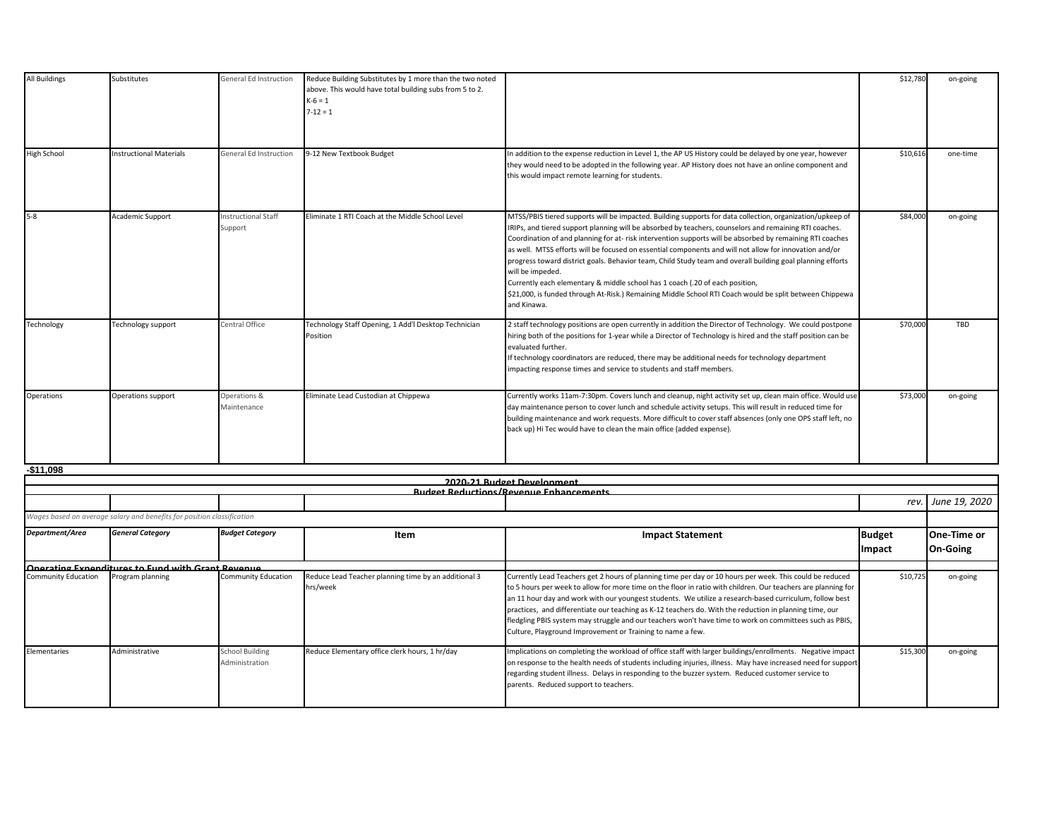| <b>All Buildings</b> | Substitutes                    | <b>General Ed Instruction</b>         | Reduce Building Substitutes by 1 more than the two noted<br>above. This would have total building subs from 5 to 2.<br>$K-6 = 1$<br>$7 - 12 = 1$ |                                                                                                                                                                                                                                                                                                                                                                                                                                                                                                                                                                                                                                                                                                                                                                                       | \$12,780 | on-going |
|----------------------|--------------------------------|---------------------------------------|--------------------------------------------------------------------------------------------------------------------------------------------------|---------------------------------------------------------------------------------------------------------------------------------------------------------------------------------------------------------------------------------------------------------------------------------------------------------------------------------------------------------------------------------------------------------------------------------------------------------------------------------------------------------------------------------------------------------------------------------------------------------------------------------------------------------------------------------------------------------------------------------------------------------------------------------------|----------|----------|
| <b>High School</b>   | <b>Instructional Materials</b> | General Ed Instruction                | 9-12 New Textbook Budget                                                                                                                         | In addition to the expense reduction in Level 1, the AP US History could be delayed by one year, however<br>they would need to be adopted in the following year. AP History does not have an online component and<br>this would impact remote learning for students.                                                                                                                                                                                                                                                                                                                                                                                                                                                                                                                  | \$10,616 | one-time |
| $5-8$                | Academic Support               | <b>Instructional Staff</b><br>Support | Eliminate 1 RTI Coach at the Middle School Level                                                                                                 | MTSS/PBIS tiered supports will be impacted. Building supports for data collection, organization/upkeep of<br>IRIPs, and tiered support planning will be absorbed by teachers, counselors and remaining RTI coaches.<br>Coordination of and planning for at-risk intervention supports will be absorbed by remaining RTI coaches<br>as well. MTSS efforts will be focused on essential components and will not allow for innovation and/or<br>progress toward district goals. Behavior team, Child Study team and overall building goal planning efforts<br>will be impeded.<br>Currently each elementary & middle school has 1 coach (.20 of each position,<br>\$21,000, is funded through At-Risk.) Remaining Middle School RTI Coach would be split between Chippewa<br>and Kinawa. | \$84,000 | on-going |
| Technology           | Technology support             | Central Office                        | Technology Staff Opening, 1 Add'l Desktop Technician<br>Position                                                                                 | 2 staff technology positions are open currently in addition the Director of Technology. We could postpone<br>hiring both of the positions for 1-year while a Director of Technology is hired and the staff position can be<br>evaluated further.<br>If technology coordinators are reduced, there may be additional needs for technology department<br>impacting response times and service to students and staff members.                                                                                                                                                                                                                                                                                                                                                            | \$70,000 | TBD      |
| Operations           | Operations support             | Operations &<br>Maintenance           | Eliminate Lead Custodian at Chippewa                                                                                                             | Currently works 11am-7:30pm. Covers lunch and cleanup, night activity set up, clean main office. Would use<br>day maintenance person to cover lunch and schedule activity setups. This will result in reduced time for<br>building maintenance and work requests. More difficult to cover staff absences (only one OPS staff left, no<br>back up) Hi Tec would have to clean the main office (added expense).                                                                                                                                                                                                                                                                                                                                                                         | \$73,000 | on-going |

**-\$11,098**

|                                                                        | 2020-21 Budget Development                        |                                          |                                                                  |                                                                                                                                                                                                                                                                                                                                                                                                                                                                                                                                                                                                                          |               |                    |  |
|------------------------------------------------------------------------|---------------------------------------------------|------------------------------------------|------------------------------------------------------------------|--------------------------------------------------------------------------------------------------------------------------------------------------------------------------------------------------------------------------------------------------------------------------------------------------------------------------------------------------------------------------------------------------------------------------------------------------------------------------------------------------------------------------------------------------------------------------------------------------------------------------|---------------|--------------------|--|
|                                                                        |                                                   |                                          |                                                                  | <b>Rudget Reductions/Revenue Enhancements</b>                                                                                                                                                                                                                                                                                                                                                                                                                                                                                                                                                                            |               |                    |  |
|                                                                        |                                                   |                                          |                                                                  |                                                                                                                                                                                                                                                                                                                                                                                                                                                                                                                                                                                                                          | rev.          | June 19, 2020      |  |
| Wages based on average salary and benefits for position classification |                                                   |                                          |                                                                  |                                                                                                                                                                                                                                                                                                                                                                                                                                                                                                                                                                                                                          |               |                    |  |
| Department/Area                                                        | <b>General Category</b>                           | <b>Budget Category</b>                   | Item                                                             | <b>Impact Statement</b>                                                                                                                                                                                                                                                                                                                                                                                                                                                                                                                                                                                                  | <b>Budget</b> | <b>One-Time or</b> |  |
|                                                                        |                                                   |                                          |                                                                  |                                                                                                                                                                                                                                                                                                                                                                                                                                                                                                                                                                                                                          | Impact        | On-Going           |  |
|                                                                        | Operating Expenditures to Fund with Grant Revenue |                                          |                                                                  |                                                                                                                                                                                                                                                                                                                                                                                                                                                                                                                                                                                                                          |               |                    |  |
| <b>Community Education</b>                                             | Program planning                                  | <b>Community Education</b>               | Reduce Lead Teacher planning time by an additional 3<br>hrs/week | Currently Lead Teachers get 2 hours of planning time per day or 10 hours per week. This could be reduced<br>to 5 hours per week to allow for more time on the floor in ratio with children. Our teachers are planning for<br>an 11 hour day and work with our youngest students. We utilize a research-based curriculum, follow best<br>practices, and differentiate our teaching as K-12 teachers do. With the reduction in planning time, our<br>fledgling PBIS system may struggle and our teachers won't have time to work on committees such as PBIS,<br>Culture, Playground Improvement or Training to name a few. | \$10,725      | on-going           |  |
| Elementaries                                                           | Administrative                                    | <b>School Building</b><br>Administration | Reduce Elementary office clerk hours, 1 hr/day                   | Implications on completing the workload of office staff with larger buildings/enrollments. Negative impact<br>on response to the health needs of students including injuries, illness. May have increased need for support<br>regarding student illness. Delays in responding to the buzzer system. Reduced customer service to<br>parents. Reduced support to teachers.                                                                                                                                                                                                                                                 | \$15,300      | on-going           |  |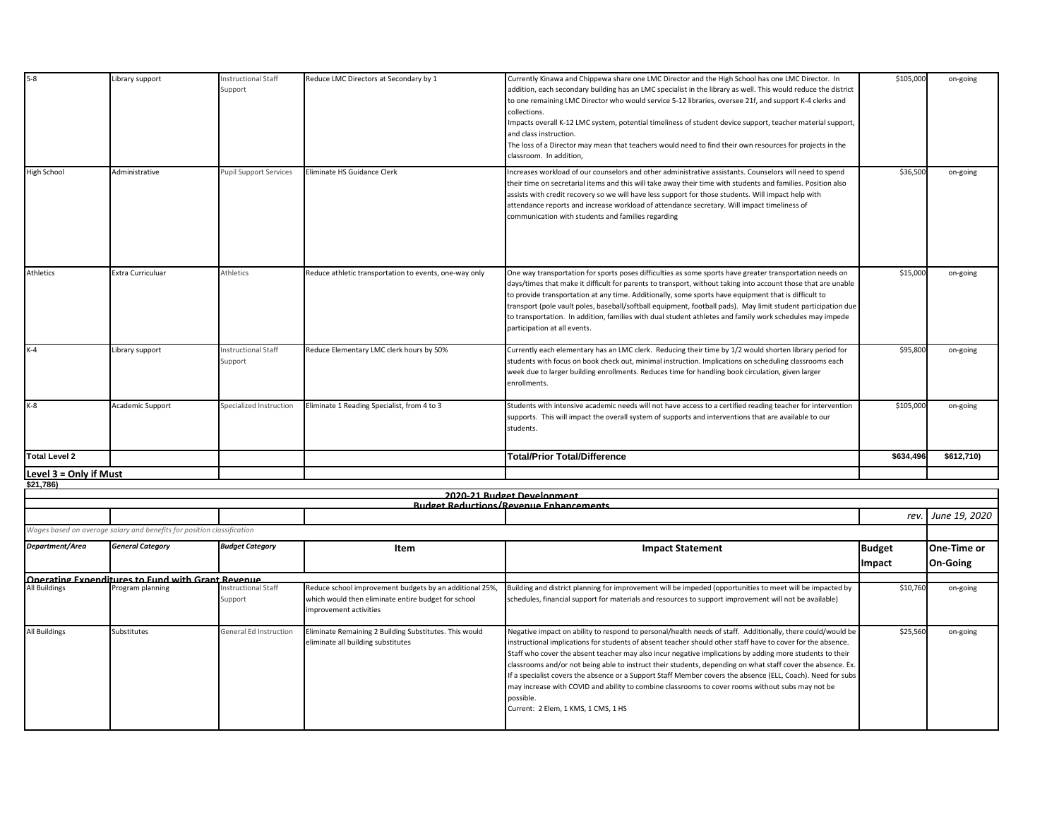| $5-8$                  | Library support                                                        | Instructional Staff<br>Support        | Reduce LMC Directors at Secondary by 1                                                                                                   | Currently Kinawa and Chippewa share one LMC Director and the High School has one LMC Director. In<br>addition, each secondary building has an LMC specialist in the library as well. This would reduce the district<br>to one remaining LMC Director who would service 5-12 libraries, oversee 21f, and support K-4 clerks and<br>collections.<br>Impacts overall K-12 LMC system, potential timeliness of student device support, teacher material support,<br>and class instruction.<br>The loss of a Director may mean that teachers would need to find their own resources for projects in the<br>classroom. In addition,                                                                                                | \$105,000                      | on-going                       |
|------------------------|------------------------------------------------------------------------|---------------------------------------|------------------------------------------------------------------------------------------------------------------------------------------|------------------------------------------------------------------------------------------------------------------------------------------------------------------------------------------------------------------------------------------------------------------------------------------------------------------------------------------------------------------------------------------------------------------------------------------------------------------------------------------------------------------------------------------------------------------------------------------------------------------------------------------------------------------------------------------------------------------------------|--------------------------------|--------------------------------|
| <b>High School</b>     | Administrative                                                         | Pupil Support Services                | Eliminate HS Guidance Clerk                                                                                                              | Increases workload of our counselors and other administrative assistants. Counselors will need to spend<br>their time on secretarial items and this will take away their time with students and families. Position also<br>assists with credit recovery so we will have less support for those students. Will impact help with<br>attendance reports and increase workload of attendance secretary. Will impact timeliness of<br>communication with students and families regarding                                                                                                                                                                                                                                          | \$36,500                       | on-going                       |
| Athletics              | Extra Curriculuar                                                      | Athletics                             | Reduce athletic transportation to events, one-way only                                                                                   | One way transportation for sports poses difficulties as some sports have greater transportation needs on<br>days/times that make it difficult for parents to transport, without taking into account those that are unable<br>to provide transportation at any time. Additionally, some sports have equipment that is difficult to<br>transport (pole vault poles, baseball/softball equipment, football pads). May limit student participation due<br>to transportation. In addition, families with dual student athletes and family work schedules may impede<br>participation at all events.                                                                                                                               | \$15,000                       | on-going                       |
| $K-4$                  | Library support                                                        | Instructional Staff<br>Support        | Reduce Elementary LMC clerk hours by 50%                                                                                                 | Currently each elementary has an LMC clerk. Reducing their time by 1/2 would shorten library period for<br>students with focus on book check out, minimal instruction. Implications on scheduling classrooms each<br>week due to larger building enrollments. Reduces time for handling book circulation, given larger<br>enrollments.                                                                                                                                                                                                                                                                                                                                                                                       | \$95,800                       | on-going                       |
| $K-8$                  | Academic Support                                                       | Specialized Instruction               | Eliminate 1 Reading Specialist, from 4 to 3                                                                                              | Students with intensive academic needs will not have access to a certified reading teacher for intervention<br>supports. This will impact the overall system of supports and interventions that are available to our<br>students.                                                                                                                                                                                                                                                                                                                                                                                                                                                                                            | \$105,000                      | on-going                       |
| <b>Total Level 2</b>   |                                                                        |                                       |                                                                                                                                          | <b>Total/Prior Total/Difference</b>                                                                                                                                                                                                                                                                                                                                                                                                                                                                                                                                                                                                                                                                                          | \$634,496                      | \$612,710                      |
| Level 3 = Only if Must |                                                                        |                                       |                                                                                                                                          |                                                                                                                                                                                                                                                                                                                                                                                                                                                                                                                                                                                                                                                                                                                              |                                |                                |
| \$21,786               |                                                                        |                                       |                                                                                                                                          |                                                                                                                                                                                                                                                                                                                                                                                                                                                                                                                                                                                                                                                                                                                              |                                |                                |
|                        |                                                                        |                                       |                                                                                                                                          | 2020-21 Budget Development<br><b>Rudget Reductions/Revenue Enhancements</b>                                                                                                                                                                                                                                                                                                                                                                                                                                                                                                                                                                                                                                                  |                                |                                |
|                        |                                                                        |                                       |                                                                                                                                          |                                                                                                                                                                                                                                                                                                                                                                                                                                                                                                                                                                                                                                                                                                                              |                                | rev. June 19, 2020             |
|                        | Wages based on average salary and benefits for position classification |                                       |                                                                                                                                          |                                                                                                                                                                                                                                                                                                                                                                                                                                                                                                                                                                                                                                                                                                                              |                                |                                |
| Department/Area        | <b>General Category</b>                                                | <b>Budget Category</b>                | Item                                                                                                                                     | <b>Impact Statement</b>                                                                                                                                                                                                                                                                                                                                                                                                                                                                                                                                                                                                                                                                                                      | <b>Budget</b><br><b>Impact</b> | One-Time or<br><b>On-Going</b> |
|                        | Onerating Expenditures to Fund with Grant Revenue                      |                                       |                                                                                                                                          |                                                                                                                                                                                                                                                                                                                                                                                                                                                                                                                                                                                                                                                                                                                              |                                |                                |
| All Buildings          | Program planning                                                       | <b>Instructional Staff</b><br>Support | Reduce school improvement budgets by an additional 25%,<br>which would then eliminate entire budget for school<br>improvement activities | Building and district planning for improvement will be impeded (opportunities to meet will be impacted by<br>schedules, financial support for materials and resources to support improvement will not be available)                                                                                                                                                                                                                                                                                                                                                                                                                                                                                                          | \$10,760                       | on-going                       |
| All Buildings          | Substitutes                                                            | General Ed Instruction                | Eliminate Remaining 2 Building Substitutes. This would<br>eliminate all building substitutes                                             | Negative impact on ability to respond to personal/health needs of staff. Additionally, there could/would be<br>instructional implications for students of absent teacher should other staff have to cover for the absence.<br>Staff who cover the absent teacher may also incur negative implications by adding more students to their<br>classrooms and/or not being able to instruct their students, depending on what staff cover the absence. Ex.<br>If a specialist covers the absence or a Support Staff Member covers the absence (ELL, Coach). Need for subs<br>may increase with COVID and ability to combine classrooms to cover rooms without subs may not be<br>possible.<br>Current: 2 Elem, 1 KMS, 1 CMS, 1 HS | \$25,560                       | on-going                       |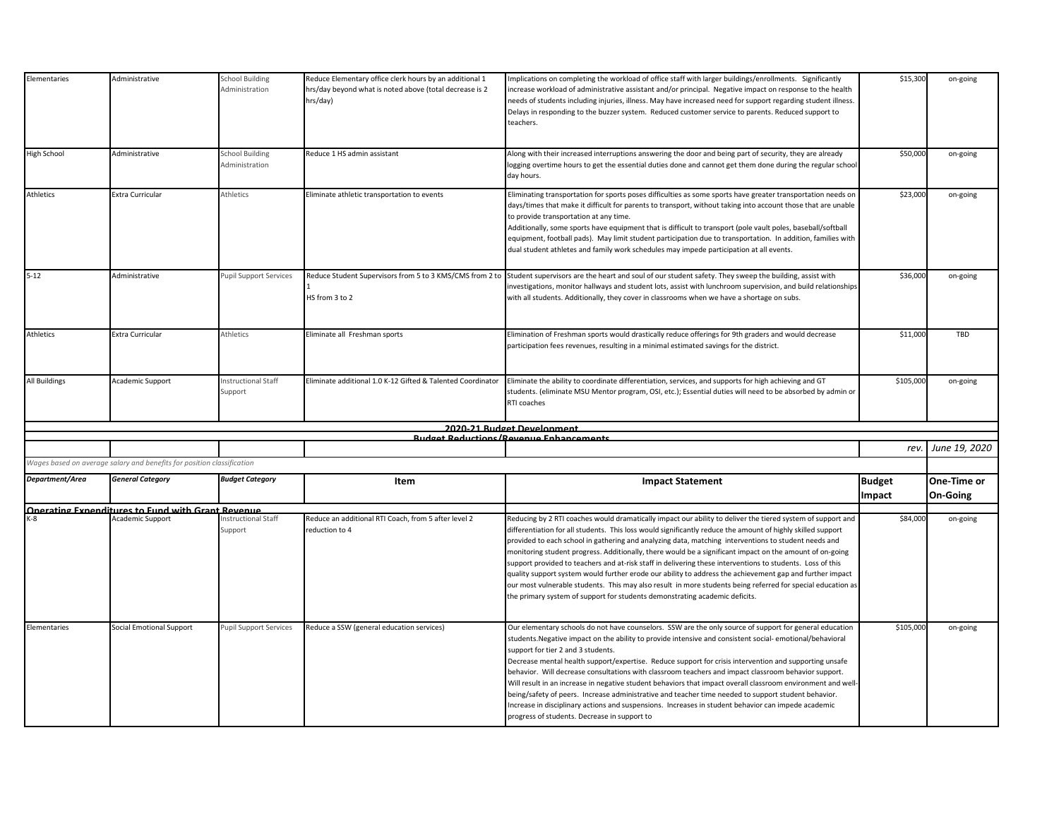| Elementaries         | Administrative                                                         | <b>School Building</b><br>Administration | Reduce Elementary office clerk hours by an additional 1<br>hrs/day beyond what is noted above (total decrease is 2<br>hrs/day) | Implications on completing the workload of office staff with larger buildings/enrollments. Significantly<br>increase workload of administrative assistant and/or principal. Negative impact on response to the health<br>needs of students including injuries, illness. May have increased need for support regarding student illness.<br>Delays in responding to the buzzer system. Reduced customer service to parents. Reduced support to<br>teachers.                                                                                                                                                                                                                                                                                                                                                                                                              | \$15,300                | on-going                |
|----------------------|------------------------------------------------------------------------|------------------------------------------|--------------------------------------------------------------------------------------------------------------------------------|------------------------------------------------------------------------------------------------------------------------------------------------------------------------------------------------------------------------------------------------------------------------------------------------------------------------------------------------------------------------------------------------------------------------------------------------------------------------------------------------------------------------------------------------------------------------------------------------------------------------------------------------------------------------------------------------------------------------------------------------------------------------------------------------------------------------------------------------------------------------|-------------------------|-------------------------|
| High School          | Administrative                                                         | <b>School Building</b><br>Administration | Reduce 1 HS admin assistant                                                                                                    | Along with their increased interruptions answering the door and being part of security, they are already<br>logging overtime hours to get the essential duties done and cannot get them done during the regular school<br>day hours.                                                                                                                                                                                                                                                                                                                                                                                                                                                                                                                                                                                                                                   | \$50,00                 | on-going                |
| Athletics            | Extra Curricular                                                       | Athletics                                | Eliminate athletic transportation to events                                                                                    | Eliminating transportation for sports poses difficulties as some sports have greater transportation needs on<br>days/times that make it difficult for parents to transport, without taking into account those that are unable<br>to provide transportation at any time.<br>Additionally, some sports have equipment that is difficult to transport (pole vault poles, baseball/softball<br>equipment, football pads). May limit student participation due to transportation. In addition, families with<br>dual student athletes and family work schedules may impede participation at all events.                                                                                                                                                                                                                                                                     | \$23,000                | on-going                |
| $5 - 12$             | Administrative                                                         | <b>Pupil Support Services</b>            | Reduce Student Supervisors from 5 to 3 KMS/CMS from 2 to<br>HS from 3 to 2                                                     | Student supervisors are the heart and soul of our student safety. They sweep the building, assist with<br>nvestigations, monitor hallways and student lots, assist with lunchroom supervision, and build relationships<br>with all students. Additionally, they cover in classrooms when we have a shortage on subs.                                                                                                                                                                                                                                                                                                                                                                                                                                                                                                                                                   | \$36,000                | on-going                |
| Athletics            | Extra Curricular                                                       | Athletics                                | Eliminate all Freshman sports                                                                                                  | Elimination of Freshman sports would drastically reduce offerings for 9th graders and would decrease<br>participation fees revenues, resulting in a minimal estimated savings for the district.                                                                                                                                                                                                                                                                                                                                                                                                                                                                                                                                                                                                                                                                        | \$11,000                | TBD                     |
| <b>All Buildings</b> | Academic Support                                                       | Instructional Staff<br>Support           | Eliminate additional 1.0 K-12 Gifted & Talented Coordinator                                                                    | Eliminate the ability to coordinate differentiation, services, and supports for high achieving and GT<br>students. (eliminate MSU Mentor program, OSI, etc.); Essential duties will need to be absorbed by admin or<br>RTI coaches                                                                                                                                                                                                                                                                                                                                                                                                                                                                                                                                                                                                                                     | \$105,000               | on-going                |
|                      |                                                                        |                                          |                                                                                                                                | 2020-21 Budget Development                                                                                                                                                                                                                                                                                                                                                                                                                                                                                                                                                                                                                                                                                                                                                                                                                                             |                         |                         |
|                      |                                                                        |                                          |                                                                                                                                | <b>Rudget Reductions/Revenue Enhancements</b>                                                                                                                                                                                                                                                                                                                                                                                                                                                                                                                                                                                                                                                                                                                                                                                                                          |                         |                         |
|                      |                                                                        |                                          |                                                                                                                                |                                                                                                                                                                                                                                                                                                                                                                                                                                                                                                                                                                                                                                                                                                                                                                                                                                                                        | rev.                    | June 19, 2020           |
|                      | Wages based on average salary and benefits for position classification |                                          |                                                                                                                                |                                                                                                                                                                                                                                                                                                                                                                                                                                                                                                                                                                                                                                                                                                                                                                                                                                                                        |                         |                         |
| Department/Area      | <b>General Category</b>                                                | <b>Budget Category</b>                   | Item                                                                                                                           | <b>Impact Statement</b>                                                                                                                                                                                                                                                                                                                                                                                                                                                                                                                                                                                                                                                                                                                                                                                                                                                | <b>Budget</b><br>Impact | One-Time or<br>On-Going |
|                      | Onerating Exnenditures to Fund with Grant Revenue                      |                                          |                                                                                                                                |                                                                                                                                                                                                                                                                                                                                                                                                                                                                                                                                                                                                                                                                                                                                                                                                                                                                        |                         |                         |
| K-8                  | Academic Support                                                       | Instructional Staff<br>Support           | Reduce an additional RTI Coach, from 5 after level 2<br>reduction to 4                                                         | Reducing by 2 RTI coaches would dramatically impact our ability to deliver the tiered system of support and<br>differentiation for all students. This loss would significantly reduce the amount of highly skilled support<br>provided to each school in gathering and analyzing data, matching interventions to student needs and<br>monitoring student progress. Additionally, there would be a significant impact on the amount of on-going<br>support provided to teachers and at-risk staff in delivering these interventions to students. Loss of this<br>quality support system would further erode our ability to address the achievement gap and further impact<br>our most vulnerable students. This may also result in more students being referred for special education as<br>the primary system of support for students demonstrating academic deficits. | \$84,000                | on-going                |
| Elementaries         | <b>Social Emotional Support</b>                                        | <b>Pupil Support Services</b>            | Reduce a SSW (general education services)                                                                                      | Our elementary schools do not have counselors. SSW are the only source of support for general education<br>students. Negative impact on the ability to provide intensive and consistent social- emotional/behavioral<br>support for tier 2 and 3 students.<br>Decrease mental health support/expertise. Reduce support for crisis intervention and supporting unsafe<br>behavior. Will decrease consultations with classroom teachers and impact classroom behavior support.<br>Will result in an increase in negative student behaviors that impact overall classroom environment and well-<br>being/safety of peers. Increase administrative and teacher time needed to support student behavior.<br>Increase in disciplinary actions and suspensions. Increases in student behavior can impede academic<br>progress of students. Decrease in support to             | \$105,000               | on-going                |